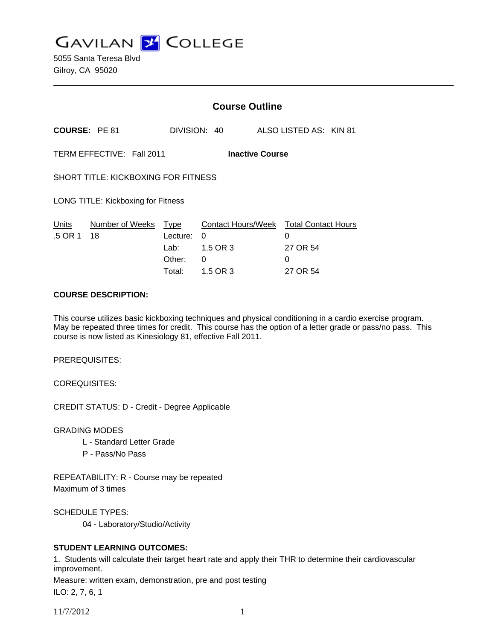**GAVILAN Z COLLEGE** 

|                                                     |                 | <b>Course Outline</b> |                                        |  |                        |  |
|-----------------------------------------------------|-----------------|-----------------------|----------------------------------------|--|------------------------|--|
| <b>COURSE: PE 81</b>                                |                 |                       | DIVISION: 40                           |  | ALSO LISTED AS: KIN 81 |  |
| TERM EFFECTIVE: Fall 2011<br><b>Inactive Course</b> |                 |                       |                                        |  |                        |  |
| <b>SHORT TITLE: KICKBOXING FOR FITNESS</b>          |                 |                       |                                        |  |                        |  |
| LONG TITLE: Kickboxing for Fitness                  |                 |                       |                                        |  |                        |  |
| Units                                               | Number of Weeks | Type                  | Contact Hours/Week Total Contact Hours |  |                        |  |
| .5 OR 1                                             | 18              | Lecture:              | 0                                      |  | 0                      |  |
|                                                     |                 | Lab:                  | 1.5 OR 3                               |  | 27 OR 54               |  |
|                                                     |                 | Other:                | 0                                      |  | 0                      |  |
|                                                     |                 | Total:                | 1.5 OR 3                               |  | 27 OR 54               |  |

### **COURSE DESCRIPTION:**

This course utilizes basic kickboxing techniques and physical conditioning in a cardio exercise program. May be repeated three times for credit. This course has the option of a letter grade or pass/no pass. This course is now listed as Kinesiology 81, effective Fall 2011.

PREREQUISITES:

COREQUISITES:

CREDIT STATUS: D - Credit - Degree Applicable

GRADING MODES

- L Standard Letter Grade
- P Pass/No Pass

REPEATABILITY: R - Course may be repeated Maximum of 3 times

SCHEDULE TYPES:

04 - Laboratory/Studio/Activity

## **STUDENT LEARNING OUTCOMES:**

1. Students will calculate their target heart rate and apply their THR to determine their cardiovascular improvement.

Measure: written exam, demonstration, pre and post testing

ILO: 2, 7, 6, 1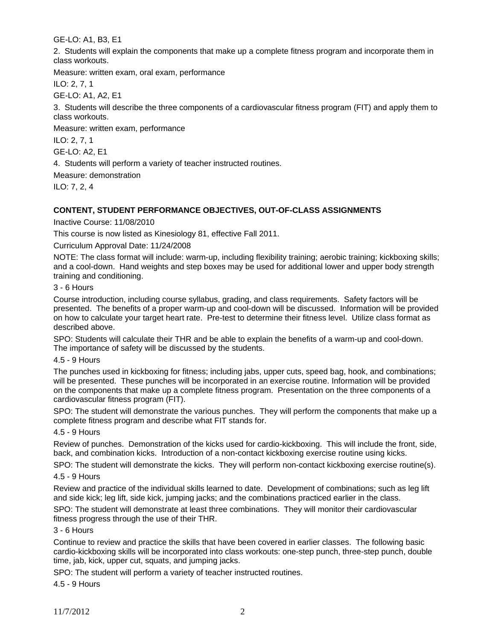GE-LO: A1, B3, E1

2. Students will explain the components that make up a complete fitness program and incorporate them in class workouts.

Measure: written exam, oral exam, performance

ILO: 2, 7, 1

GE-LO: A1, A2, E1

3. Students will describe the three components of a cardiovascular fitness program (FIT) and apply them to class workouts.

Measure: written exam, performance

ILO: 2, 7, 1

GE-LO: A2, E1

4. Students will perform a variety of teacher instructed routines.

Measure: demonstration

ILO: 7, 2, 4

# **CONTENT, STUDENT PERFORMANCE OBJECTIVES, OUT-OF-CLASS ASSIGNMENTS**

Inactive Course: 11/08/2010

This course is now listed as Kinesiology 81, effective Fall 2011.

Curriculum Approval Date: 11/24/2008

NOTE: The class format will include: warm-up, including flexibility training; aerobic training; kickboxing skills; and a cool-down. Hand weights and step boxes may be used for additional lower and upper body strength training and conditioning.

### 3 - 6 Hours

Course introduction, including course syllabus, grading, and class requirements. Safety factors will be presented. The benefits of a proper warm-up and cool-down will be discussed. Information will be provided on how to calculate your target heart rate. Pre-test to determine their fitness level. Utilize class format as described above.

SPO: Students will calculate their THR and be able to explain the benefits of a warm-up and cool-down. The importance of safety will be discussed by the students.

# 4.5 - 9 Hours

The punches used in kickboxing for fitness; including jabs, upper cuts, speed bag, hook, and combinations; will be presented. These punches will be incorporated in an exercise routine. Information will be provided on the components that make up a complete fitness program. Presentation on the three components of a cardiovascular fitness program (FIT).

SPO: The student will demonstrate the various punches. They will perform the components that make up a complete fitness program and describe what FIT stands for.

### 4.5 - 9 Hours

Review of punches. Demonstration of the kicks used for cardio-kickboxing. This will include the front, side, back, and combination kicks. Introduction of a non-contact kickboxing exercise routine using kicks.

SPO: The student will demonstrate the kicks. They will perform non-contact kickboxing exercise routine(s). 4.5 - 9 Hours

Review and practice of the individual skills learned to date. Development of combinations; such as leg lift and side kick; leg lift, side kick, jumping jacks; and the combinations practiced earlier in the class.

SPO: The student will demonstrate at least three combinations. They will monitor their cardiovascular fitness progress through the use of their THR.

# 3 - 6 Hours

Continue to review and practice the skills that have been covered in earlier classes. The following basic cardio-kickboxing skills will be incorporated into class workouts: one-step punch, three-step punch, double time, jab, kick, upper cut, squats, and jumping jacks.

SPO: The student will perform a variety of teacher instructed routines.

4.5 - 9 Hours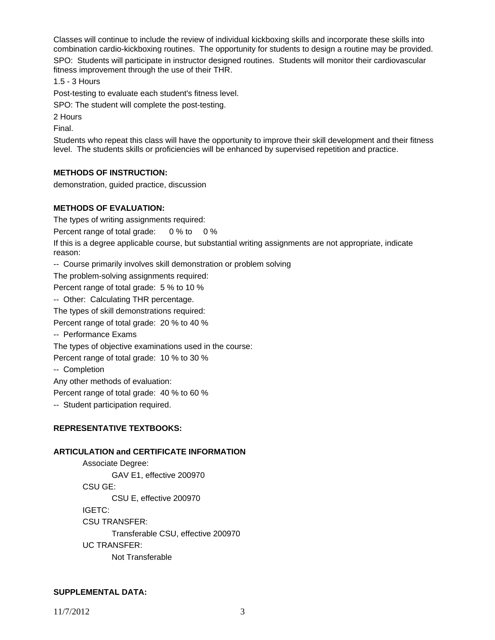Classes will continue to include the review of individual kickboxing skills and incorporate these skills into combination cardio-kickboxing routines. The opportunity for students to design a routine may be provided.

SPO: Students will participate in instructor designed routines. Students will monitor their cardiovascular fitness improvement through the use of their THR.

1.5 - 3 Hours

Post-testing to evaluate each student's fitness level.

SPO: The student will complete the post-testing.

2 Hours

Final.

Students who repeat this class will have the opportunity to improve their skill development and their fitness level. The students skills or proficiencies will be enhanced by supervised repetition and practice.

#### **METHODS OF INSTRUCTION:**

demonstration, guided practice, discussion

#### **METHODS OF EVALUATION:**

The types of writing assignments required:

Percent range of total grade: 0 % to 0 %

If this is a degree applicable course, but substantial writing assignments are not appropriate, indicate reason:

-- Course primarily involves skill demonstration or problem solving

The problem-solving assignments required:

Percent range of total grade: 5 % to 10 %

-- Other: Calculating THR percentage.

The types of skill demonstrations required:

Percent range of total grade: 20 % to 40 %

-- Performance Exams

The types of objective examinations used in the course:

Percent range of total grade: 10 % to 30 %

-- Completion

Any other methods of evaluation:

Percent range of total grade: 40 % to 60 %

-- Student participation required.

### **REPRESENTATIVE TEXTBOOKS:**

### **ARTICULATION and CERTIFICATE INFORMATION**

 Associate Degree: GAV E1, effective 200970 CSU GE: CSU E, effective 200970 IGETC: CSU TRANSFER: Transferable CSU, effective 200970 UC TRANSFER: Not Transferable

#### **SUPPLEMENTAL DATA:**